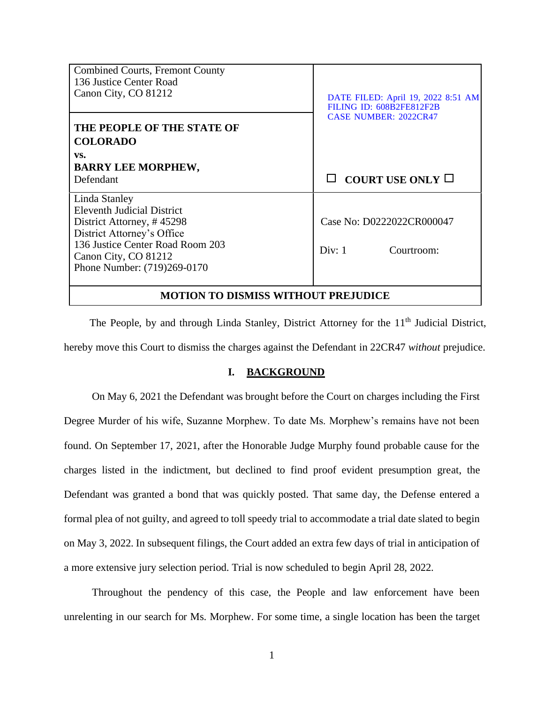| <b>Combined Courts, Fremont County</b>     |                                    |
|--------------------------------------------|------------------------------------|
| 136 Justice Center Road                    |                                    |
| Canon City, CO 81212                       | DATE FILED: April 19, 2022 8:51 AM |
|                                            | FILING ID: 608B2FE812F2B           |
|                                            | <b>CASE NUMBER: 2022CR47</b>       |
| THE PEOPLE OF THE STATE OF                 |                                    |
| <b>COLORADO</b>                            |                                    |
| VS.                                        |                                    |
| <b>BARRY LEE MORPHEW,</b>                  |                                    |
| Defendant                                  | COURT USE ONLY $\Box$              |
|                                            |                                    |
| Linda Stanley                              |                                    |
| <b>Eleventh Judicial District</b>          |                                    |
| District Attorney, #45298                  | Case No: D0222022CR000047          |
| District Attorney's Office                 |                                    |
| 136 Justice Center Road Room 203           |                                    |
| Canon City, CO 81212                       | Div: 1<br>Courtroom:               |
|                                            |                                    |
| Phone Number: (719)269-0170                |                                    |
|                                            |                                    |
| <b>MOTION TO DISMISS WITHOUT PREJUDICE</b> |                                    |

The People, by and through Linda Stanley, District Attorney for the  $11<sup>th</sup>$  Judicial District, hereby move this Court to dismiss the charges against the Defendant in 22CR47 *without* prejudice.

## **I. BACKGROUND**

On May 6, 2021 the Defendant was brought before the Court on charges including the First Degree Murder of his wife, Suzanne Morphew. To date Ms. Morphew's remains have not been found. On September 17, 2021, after the Honorable Judge Murphy found probable cause for the charges listed in the indictment, but declined to find proof evident presumption great, the Defendant was granted a bond that was quickly posted. That same day, the Defense entered a formal plea of not guilty, and agreed to toll speedy trial to accommodate a trial date slated to begin on May 3, 2022. In subsequent filings, the Court added an extra few days of trial in anticipation of a more extensive jury selection period. Trial is now scheduled to begin April 28, 2022.

Throughout the pendency of this case, the People and law enforcement have been unrelenting in our search for Ms. Morphew. For some time, a single location has been the target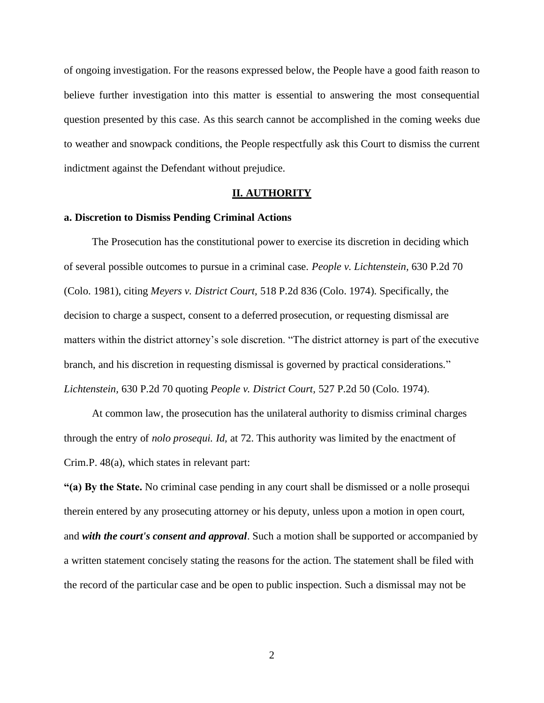of ongoing investigation. For the reasons expressed below, the People have a good faith reason to believe further investigation into this matter is essential to answering the most consequential question presented by this case. As this search cannot be accomplished in the coming weeks due to weather and snowpack conditions, the People respectfully ask this Court to dismiss the current indictment against the Defendant without prejudice.

#### **II. AUTHORITY**

### **a. Discretion to Dismiss Pending Criminal Actions**

The Prosecution has the constitutional power to exercise its discretion in deciding which of several possible outcomes to pursue in a criminal case. *People v. Lichtenstein,* 630 P.2d 70 (Colo. 1981), citing *Meyers v. District Court,* 518 P.2d 836 (Colo. 1974). Specifically, the decision to charge a suspect, consent to a deferred prosecution, or requesting dismissal are matters within the district attorney's sole discretion. "The district attorney is part of the executive branch, and his discretion in requesting dismissal is governed by practical considerations." *Lichtenstein,* 630 P.2d 70 quoting *People v. District Court,* 527 P.2d 50 (Colo. 1974).

At common law, the prosecution has the unilateral authority to dismiss criminal charges through the entry of *nolo prosequi. Id,* at 72. This authority was limited by the enactment of Crim.P. 48(a), which states in relevant part:

**"(a) By the State.** No criminal case pending in any court shall be dismissed or a nolle prosequi therein entered by any prosecuting attorney or his deputy, unless upon a motion in open court, and *with the court's consent and approval*. Such a motion shall be supported or accompanied by a written statement concisely stating the reasons for the action. The statement shall be filed with the record of the particular case and be open to public inspection. Such a dismissal may not be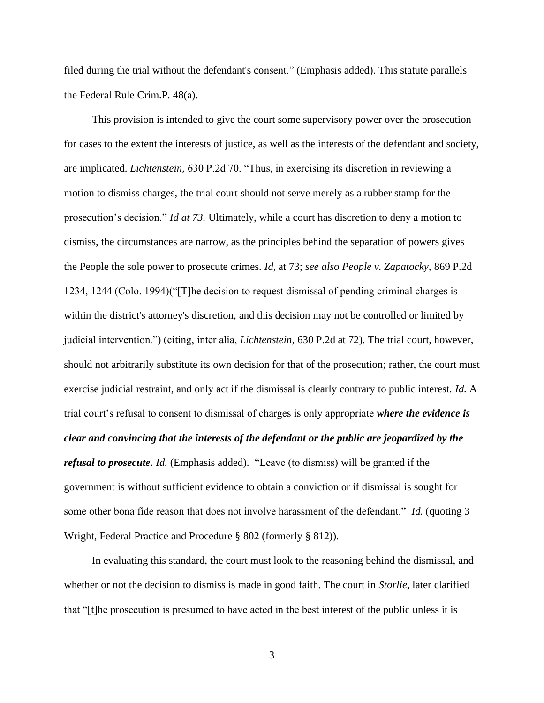filed during the trial without the defendant's consent." (Emphasis added). This statute parallels the Federal Rule Crim.P. 48(a).

This provision is intended to give the court some supervisory power over the prosecution for cases to the extent the interests of justice, as well as the interests of the defendant and society, are implicated. *Lichtenstein,* 630 P.2d 70. "Thus, in exercising its discretion in reviewing a motion to dismiss charges, the trial court should not serve merely as a rubber stamp for the prosecution's decision." *Id at 73.* Ultimately, while a court has discretion to deny a motion to dismiss, the circumstances are narrow, as the principles behind the separation of powers gives the People the sole power to prosecute crimes. *Id*, at 73; *see also People v. Zapatocky,* 869 P.2d 1234, 1244 (Colo. 1994)("[T]he decision to request dismissal of pending criminal charges is within the district's attorney's discretion, and this decision may not be controlled or limited by judicial intervention.") (citing, inter alia, *Lichtenstein*, 630 P.2d at 72). The trial court, however, should not arbitrarily substitute its own decision for that of the prosecution; rather, the court must exercise judicial restraint, and only act if the dismissal is clearly contrary to public interest. *Id.* A trial court's refusal to consent to dismissal of charges is only appropriate *where the evidence is clear and convincing that the interests of the defendant or the public are jeopardized by the refusal to prosecute*. *Id.* (Emphasis added). "Leave (to dismiss) will be granted if the government is without sufficient evidence to obtain a conviction or if dismissal is sought for some other bona fide reason that does not involve harassment of the defendant." *Id.* (quoting 3 Wright, Federal Practice and Procedure § 802 (formerly § 812)).

In evaluating this standard, the court must look to the reasoning behind the dismissal, and whether or not the decision to dismiss is made in good faith. The court in *Storlie,* later clarified that "[t]he prosecution is presumed to have acted in the best interest of the public unless it is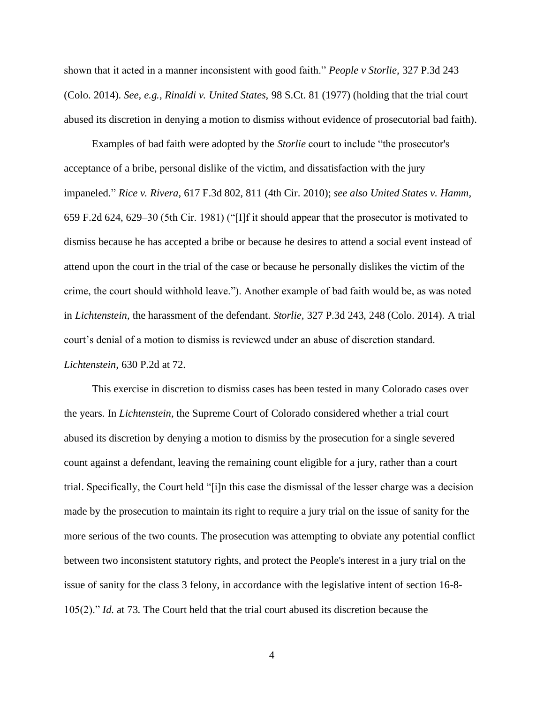shown that it acted in a manner inconsistent with good faith." *People v Storlie,* 327 P.3d 243 (Colo. 2014). *See, e.g., Rinaldi v. United States,* 98 S.Ct. 81 (1977) (holding that the trial court abused its discretion in denying a motion to dismiss without evidence of prosecutorial bad faith).

Examples of bad faith were adopted by the *Storlie* court to include "the prosecutor's acceptance of a bribe, personal dislike of the victim, and dissatisfaction with the jury impaneled." *Rice v. Rivera*, 617 F.3d 802, 811 (4th Cir. 2010); *see also United States v. Hamm*, 659 F.2d 624, 629–30 (5th Cir. 1981) ("[I]f it should appear that the prosecutor is motivated to dismiss because he has accepted a bribe or because he desires to attend a social event instead of attend upon the court in the trial of the case or because he personally dislikes the victim of the crime, the court should withhold leave."). Another example of bad faith would be, as was noted in *Lichtenstein*, the harassment of the defendant. *Storlie,* 327 P.3d 243, 248 (Colo. 2014). A trial court's denial of a motion to dismiss is reviewed under an abuse of discretion standard. *Lichtenstein,* 630 P.2d at 72.

This exercise in discretion to dismiss cases has been tested in many Colorado cases over the years. In *Lichtenstein,* the Supreme Court of Colorado considered whether a trial court abused its discretion by denying a motion to dismiss by the prosecution for a single severed count against a defendant, leaving the remaining count eligible for a jury, rather than a court trial. Specifically, the Court held "[i]n this case the dismissal of the lesser charge was a decision made by the prosecution to maintain its right to require a jury trial on the issue of sanity for the more serious of the two counts. The prosecution was attempting to obviate any potential conflict between two inconsistent statutory rights, and protect the People's interest in a jury trial on the issue of sanity for the class 3 felony, in accordance with the legislative intent of section 16-8- 105(2)." *Id.* at 73. The Court held that the trial court abused its discretion because the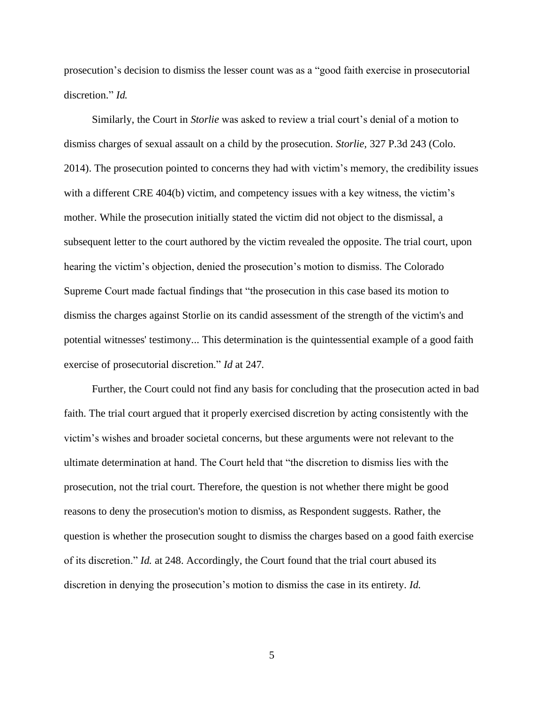prosecution's decision to dismiss the lesser count was as a "good faith exercise in prosecutorial discretion." *Id.*

Similarly, the Court in *Storlie* was asked to review a trial court's denial of a motion to dismiss charges of sexual assault on a child by the prosecution. *Storlie,* 327 P.3d 243 (Colo. 2014). The prosecution pointed to concerns they had with victim's memory, the credibility issues with a different CRE 404(b) victim, and competency issues with a key witness, the victim's mother. While the prosecution initially stated the victim did not object to the dismissal, a subsequent letter to the court authored by the victim revealed the opposite. The trial court, upon hearing the victim's objection, denied the prosecution's motion to dismiss. The Colorado Supreme Court made factual findings that "the prosecution in this case based its motion to dismiss the charges against Storlie on its candid assessment of the strength of the victim's and potential witnesses' testimony... This determination is the quintessential example of a good faith exercise of prosecutorial discretion." *Id* at 247.

Further, the Court could not find any basis for concluding that the prosecution acted in bad faith. The trial court argued that it properly exercised discretion by acting consistently with the victim's wishes and broader societal concerns, but these arguments were not relevant to the ultimate determination at hand. The Court held that "the discretion to dismiss lies with the prosecution, not the trial court. Therefore, the question is not whether there might be good reasons to deny the prosecution's motion to dismiss, as Respondent suggests. Rather, the question is whether the prosecution sought to dismiss the charges based on a good faith exercise of its discretion." *Id.* at 248. Accordingly, the Court found that the trial court abused its discretion in denying the prosecution's motion to dismiss the case in its entirety. *Id.*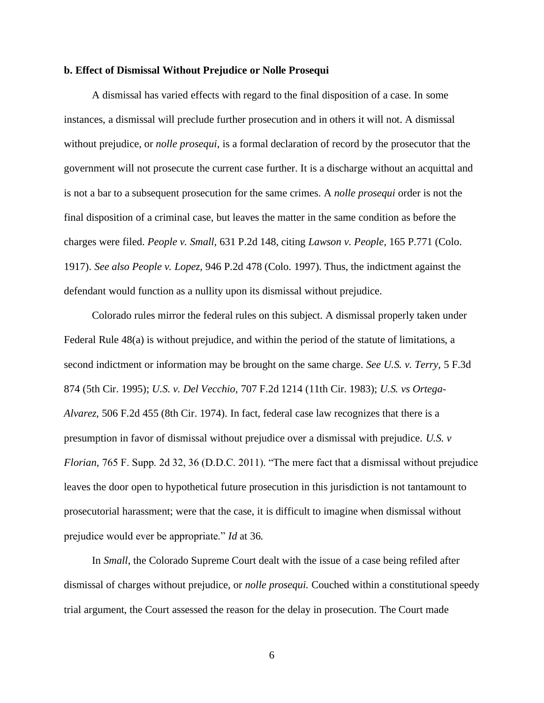#### **b. Effect of Dismissal Without Prejudice or Nolle Prosequi**

A dismissal has varied effects with regard to the final disposition of a case. In some instances, a dismissal will preclude further prosecution and in others it will not. A dismissal without prejudice, or *nolle prosequi*, is a formal declaration of record by the prosecutor that the government will not prosecute the current case further. It is a discharge without an acquittal and is not a bar to a subsequent prosecution for the same crimes. A *nolle prosequi* order is not the final disposition of a criminal case, but leaves the matter in the same condition as before the charges were filed. *People v. Small*, 631 P.2d 148, citing *Lawson v. People*, 165 P.771 (Colo. 1917). *See also People v. Lopez,* 946 P.2d 478 (Colo. 1997). Thus, the indictment against the defendant would function as a nullity upon its dismissal without prejudice.

Colorado rules mirror the federal rules on this subject. A dismissal properly taken under Federal Rule 48(a) is without prejudice, and within the period of the statute of limitations, a second indictment or information may be brought on the same charge. *See U.S. v. Terry,* 5 F.3d 874 (5th Cir. 1995); *U.S. v. Del Vecchio,* 707 F.2d 1214 (11th Cir. 1983); *U.S. vs Ortega-Alvarez,* 506 F.2d 455 (8th Cir. 1974). In fact, federal case law recognizes that there is a presumption in favor of dismissal without prejudice over a dismissal with prejudice. *U.S. v Florian,* 765 F. Supp. 2d 32, 36 (D.D.C. 2011). "The mere fact that a dismissal without prejudice leaves the door open to hypothetical future prosecution in this jurisdiction is not tantamount to prosecutorial harassment; were that the case, it is difficult to imagine when dismissal without prejudice would ever be appropriate." *Id* at 36.

In *Small*, the Colorado Supreme Court dealt with the issue of a case being refiled after dismissal of charges without prejudice, or *nolle prosequi.* Couched within a constitutional speedy trial argument, the Court assessed the reason for the delay in prosecution. The Court made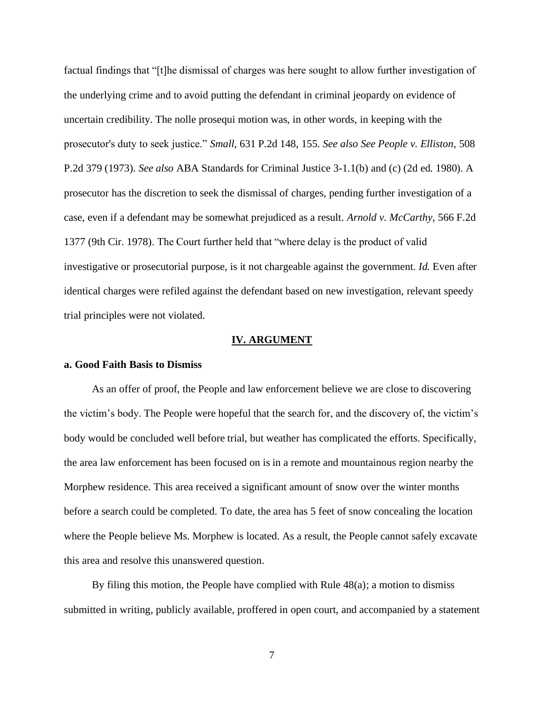factual findings that "[t]he dismissal of charges was here sought to allow further investigation of the underlying crime and to avoid putting the defendant in criminal jeopardy on evidence of uncertain credibility. The nolle prosequi motion was, in other words, in keeping with the prosecutor's duty to seek justice." *Small,* 631 P.2d 148, 155. *See also See People v. Elliston*, 508 P.2d 379 (1973). *See also* ABA Standards for Criminal Justice 3-1.1(b) and (c) (2d ed. 1980). A prosecutor has the discretion to seek the dismissal of charges, pending further investigation of a case, even if a defendant may be somewhat prejudiced as a result. *Arnold v. McCarthy*, 566 F.2d 1377 (9th Cir. 1978). The Court further held that "where delay is the product of valid investigative or prosecutorial purpose, is it not chargeable against the government. *Id.* Even after identical charges were refiled against the defendant based on new investigation, relevant speedy trial principles were not violated.

#### **IV. ARGUMENT**

#### **a. Good Faith Basis to Dismiss**

As an offer of proof, the People and law enforcement believe we are close to discovering the victim's body. The People were hopeful that the search for, and the discovery of, the victim's body would be concluded well before trial, but weather has complicated the efforts. Specifically, the area law enforcement has been focused on is in a remote and mountainous region nearby the Morphew residence. This area received a significant amount of snow over the winter months before a search could be completed. To date, the area has 5 feet of snow concealing the location where the People believe Ms. Morphew is located. As a result, the People cannot safely excavate this area and resolve this unanswered question.

By filing this motion, the People have complied with Rule 48(a); a motion to dismiss submitted in writing, publicly available, proffered in open court, and accompanied by a statement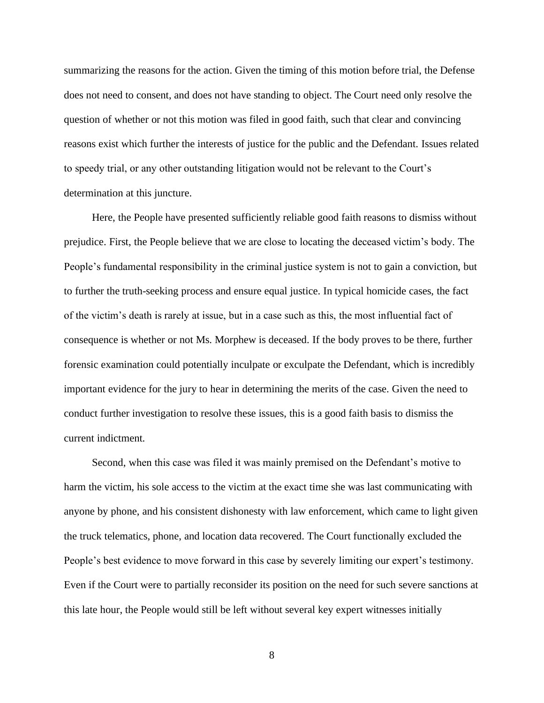summarizing the reasons for the action. Given the timing of this motion before trial, the Defense does not need to consent, and does not have standing to object. The Court need only resolve the question of whether or not this motion was filed in good faith, such that clear and convincing reasons exist which further the interests of justice for the public and the Defendant. Issues related to speedy trial, or any other outstanding litigation would not be relevant to the Court's determination at this juncture.

Here, the People have presented sufficiently reliable good faith reasons to dismiss without prejudice. First, the People believe that we are close to locating the deceased victim's body. The People's fundamental responsibility in the criminal justice system is not to gain a conviction, but to further the truth-seeking process and ensure equal justice. In typical homicide cases, the fact of the victim's death is rarely at issue, but in a case such as this, the most influential fact of consequence is whether or not Ms. Morphew is deceased. If the body proves to be there, further forensic examination could potentially inculpate or exculpate the Defendant, which is incredibly important evidence for the jury to hear in determining the merits of the case. Given the need to conduct further investigation to resolve these issues, this is a good faith basis to dismiss the current indictment.

Second, when this case was filed it was mainly premised on the Defendant's motive to harm the victim, his sole access to the victim at the exact time she was last communicating with anyone by phone, and his consistent dishonesty with law enforcement, which came to light given the truck telematics, phone, and location data recovered. The Court functionally excluded the People's best evidence to move forward in this case by severely limiting our expert's testimony. Even if the Court were to partially reconsider its position on the need for such severe sanctions at this late hour, the People would still be left without several key expert witnesses initially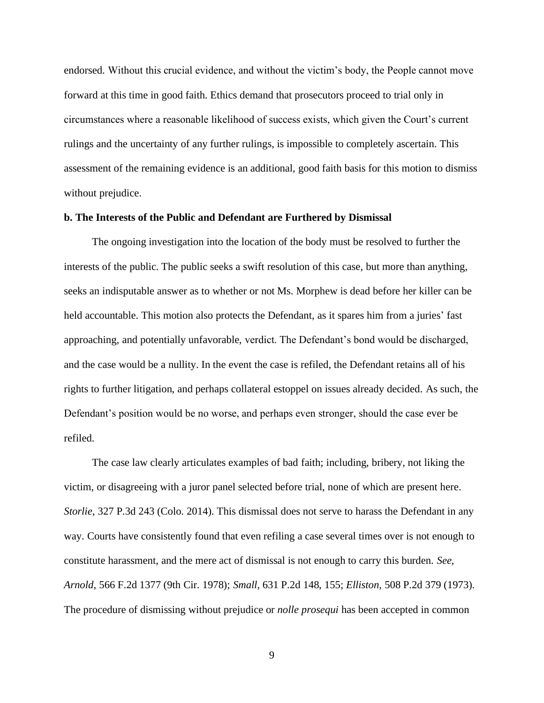endorsed. Without this crucial evidence, and without the victim's body, the People cannot move forward at this time in good faith. Ethics demand that prosecutors proceed to trial only in circumstances where a reasonable likelihood of success exists, which given the Court's current rulings and the uncertainty of any further rulings, is impossible to completely ascertain. This assessment of the remaining evidence is an additional, good faith basis for this motion to dismiss without prejudice.

#### **b. The Interests of the Public and Defendant are Furthered by Dismissal**

The ongoing investigation into the location of the body must be resolved to further the interests of the public. The public seeks a swift resolution of this case, but more than anything, seeks an indisputable answer as to whether or not Ms. Morphew is dead before her killer can be held accountable. This motion also protects the Defendant, as it spares him from a juries' fast approaching, and potentially unfavorable, verdict. The Defendant's bond would be discharged, and the case would be a nullity. In the event the case is refiled, the Defendant retains all of his rights to further litigation, and perhaps collateral estoppel on issues already decided. As such, the Defendant's position would be no worse, and perhaps even stronger, should the case ever be refiled.

The case law clearly articulates examples of bad faith; including, bribery, not liking the victim, or disagreeing with a juror panel selected before trial, none of which are present here. *Storlie,* 327 P.3d 243 (Colo. 2014). This dismissal does not serve to harass the Defendant in any way. Courts have consistently found that even refiling a case several times over is not enough to constitute harassment, and the mere act of dismissal is not enough to carry this burden. *See, Arnold*, 566 F.2d 1377 (9th Cir. 1978); *Small,* 631 P.2d 148, 155; *Elliston,* 508 P.2d 379 (1973). The procedure of dismissing without prejudice or *nolle prosequi* has been accepted in common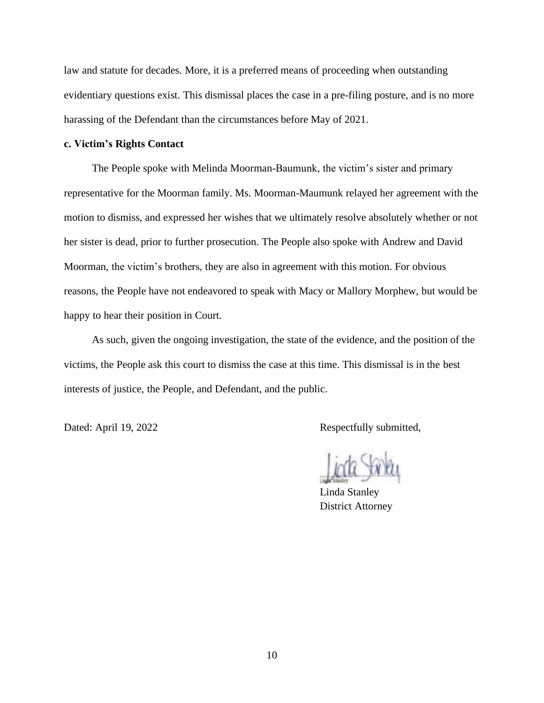law and statute for decades. More, it is a preferred means of proceeding when outstanding evidentiary questions exist. This dismissal places the case in a pre-filing posture, and is no more harassing of the Defendant than the circumstances before May of 2021.

## **c. Victim's Rights Contact**

The People spoke with Melinda Moorman-Baumunk, the victim's sister and primary representative for the Moorman family. Ms. Moorman-Maumunk relayed her agreement with the motion to dismiss, and expressed her wishes that we ultimately resolve absolutely whether or not her sister is dead, prior to further prosecution. The People also spoke with Andrew and David Moorman, the victim's brothers, they are also in agreement with this motion. For obvious reasons, the People have not endeavored to speak with Macy or Mallory Morphew, but would be happy to hear their position in Court.

As such, given the ongoing investigation, the state of the evidence, and the position of the victims, the People ask this court to dismiss the case at this time. This dismissal is in the best interests of justice, the People, and Defendant, and the public.

Dated: April 19, 2022 Respectfully submitted,

Linda Stanley District Attorney